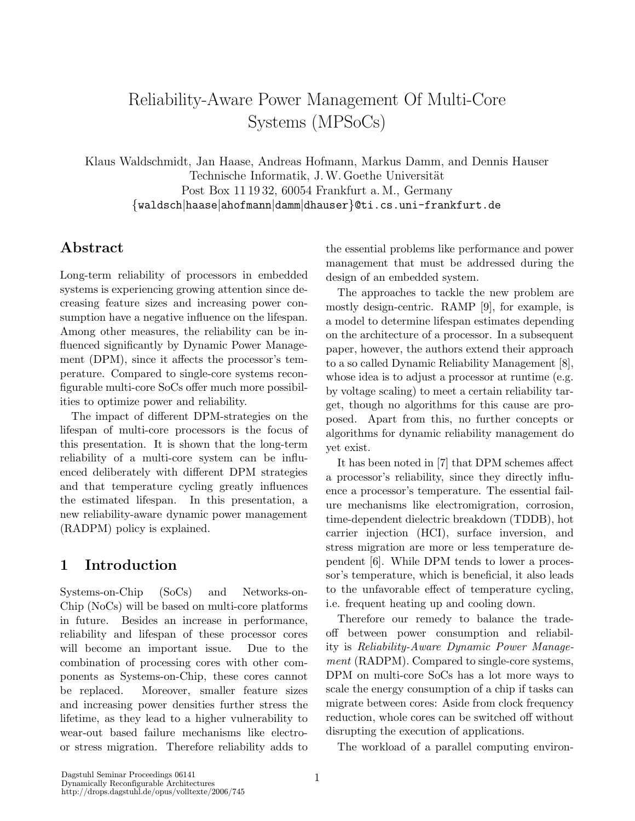# Reliability-Aware Power Management Of Multi-Core Systems (MPSoCs)

Klaus Waldschmidt, Jan Haase, Andreas Hofmann, Markus Damm, and Dennis Hauser Technische Informatik, J.W. Goethe Universität Post Box 11 19 32, 60054 Frankfurt a. M., Germany {waldsch|haase|ahofmann|damm|dhauser}@ti.cs.uni-frankfurt.de

### Abstract

Long-term reliability of processors in embedded systems is experiencing growing attention since decreasing feature sizes and increasing power consumption have a negative influence on the lifespan. Among other measures, the reliability can be influenced significantly by Dynamic Power Management (DPM), since it affects the processor's temperature. Compared to single-core systems reconfigurable multi-core SoCs offer much more possibilities to optimize power and reliability.

The impact of different DPM-strategies on the lifespan of multi-core processors is the focus of this presentation. It is shown that the long-term reliability of a multi-core system can be influenced deliberately with different DPM strategies and that temperature cycling greatly influences the estimated lifespan. In this presentation, a new reliability-aware dynamic power management (RADPM) policy is explained.

# 1 Introduction

Systems-on-Chip (SoCs) and Networks-on-Chip (NoCs) will be based on multi-core platforms in future. Besides an increase in performance, reliability and lifespan of these processor cores will become an important issue. Due to the combination of processing cores with other components as Systems-on-Chip, these cores cannot be replaced. Moreover, smaller feature sizes and increasing power densities further stress the lifetime, as they lead to a higher vulnerability to wear-out based failure mechanisms like electroor stress migration. Therefore reliability adds to the essential problems like performance and power management that must be addressed during the design of an embedded system.

The approaches to tackle the new problem are mostly design-centric. RAMP [9], for example, is a model to determine lifespan estimates depending on the architecture of a processor. In a subsequent paper, however, the authors extend their approach to a so called Dynamic Reliability Management [8], whose idea is to adjust a processor at runtime (e.g. by voltage scaling) to meet a certain reliability target, though no algorithms for this cause are proposed. Apart from this, no further concepts or algorithms for dynamic reliability management do yet exist.

It has been noted in [7] that DPM schemes affect a processor's reliability, since they directly influence a processor's temperature. The essential failure mechanisms like electromigration, corrosion, time-dependent dielectric breakdown (TDDB), hot carrier injection (HCI), surface inversion, and stress migration are more or less temperature dependent [6]. While DPM tends to lower a processor's temperature, which is beneficial, it also leads to the unfavorable effect of temperature cycling, i.e. frequent heating up and cooling down.

Therefore our remedy to balance the tradeoff between power consumption and reliability is Reliability-Aware Dynamic Power Management (RADPM). Compared to single-core systems, DPM on multi-core SoCs has a lot more ways to scale the energy consumption of a chip if tasks can migrate between cores: Aside from clock frequency reduction, whole cores can be switched off without disrupting the execution of applications.

The workload of a parallel computing environ-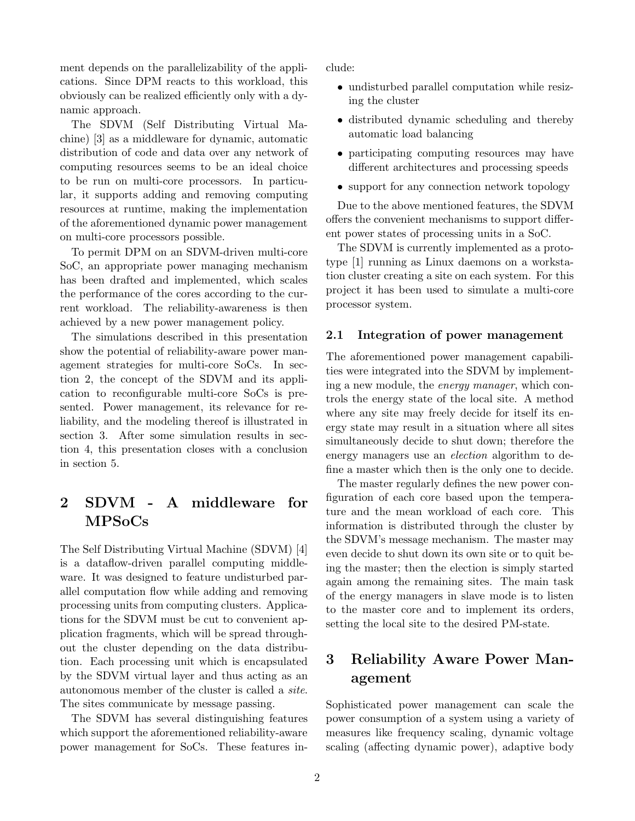ment depends on the parallelizability of the applications. Since DPM reacts to this workload, this obviously can be realized efficiently only with a dynamic approach.

The SDVM (Self Distributing Virtual Machine) [3] as a middleware for dynamic, automatic distribution of code and data over any network of computing resources seems to be an ideal choice to be run on multi-core processors. In particular, it supports adding and removing computing resources at runtime, making the implementation of the aforementioned dynamic power management on multi-core processors possible.

To permit DPM on an SDVM-driven multi-core SoC, an appropriate power managing mechanism has been drafted and implemented, which scales the performance of the cores according to the current workload. The reliability-awareness is then achieved by a new power management policy.

The simulations described in this presentation show the potential of reliability-aware power management strategies for multi-core SoCs. In section 2, the concept of the SDVM and its application to reconfigurable multi-core SoCs is presented. Power management, its relevance for reliability, and the modeling thereof is illustrated in section 3. After some simulation results in section 4, this presentation closes with a conclusion in section 5.

# 2 SDVM - A middleware for MPSoCs

The Self Distributing Virtual Machine (SDVM) [4] is a dataflow-driven parallel computing middleware. It was designed to feature undisturbed parallel computation flow while adding and removing processing units from computing clusters. Applications for the SDVM must be cut to convenient application fragments, which will be spread throughout the cluster depending on the data distribution. Each processing unit which is encapsulated by the SDVM virtual layer and thus acting as an autonomous member of the cluster is called a site. The sites communicate by message passing.

The SDVM has several distinguishing features which support the aforementioned reliability-aware power management for SoCs. These features include:

- undisturbed parallel computation while resizing the cluster
- distributed dynamic scheduling and thereby automatic load balancing
- participating computing resources may have different architectures and processing speeds
- support for any connection network topology

Due to the above mentioned features, the SDVM offers the convenient mechanisms to support different power states of processing units in a SoC.

The SDVM is currently implemented as a prototype [1] running as Linux daemons on a workstation cluster creating a site on each system. For this project it has been used to simulate a multi-core processor system.

#### 2.1 Integration of power management

The aforementioned power management capabilities were integrated into the SDVM by implementing a new module, the energy manager, which controls the energy state of the local site. A method where any site may freely decide for itself its energy state may result in a situation where all sites simultaneously decide to shut down; therefore the energy managers use an *election* algorithm to define a master which then is the only one to decide.

The master regularly defines the new power configuration of each core based upon the temperature and the mean workload of each core. This information is distributed through the cluster by the SDVM's message mechanism. The master may even decide to shut down its own site or to quit being the master; then the election is simply started again among the remaining sites. The main task of the energy managers in slave mode is to listen to the master core and to implement its orders, setting the local site to the desired PM-state.

# 3 Reliability Aware Power Management

Sophisticated power management can scale the power consumption of a system using a variety of measures like frequency scaling, dynamic voltage scaling (affecting dynamic power), adaptive body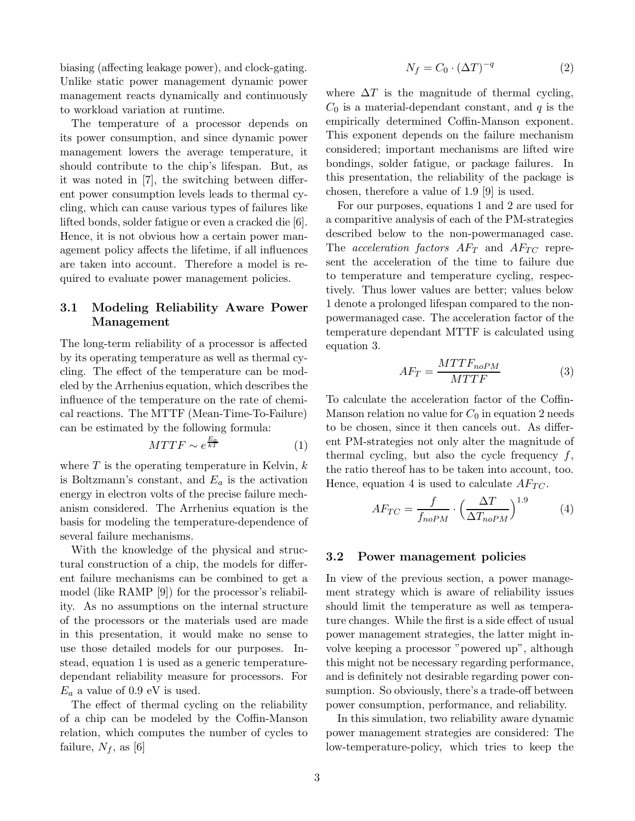biasing (affecting leakage power), and clock-gating. Unlike static power management dynamic power management reacts dynamically and continuously to workload variation at runtime.

The temperature of a processor depends on its power consumption, and since dynamic power management lowers the average temperature, it should contribute to the chip's lifespan. But, as it was noted in [7], the switching between different power consumption levels leads to thermal cycling, which can cause various types of failures like lifted bonds, solder fatigue or even a cracked die [6]. Hence, it is not obvious how a certain power management policy affects the lifetime, if all influences are taken into account. Therefore a model is required to evaluate power management policies.

#### 3.1 Modeling Reliability Aware Power Management

The long-term reliability of a processor is affected by its operating temperature as well as thermal cycling. The effect of the temperature can be modeled by the Arrhenius equation, which describes the influence of the temperature on the rate of chemical reactions. The MTTF (Mean-Time-To-Failure) can be estimated by the following formula:

$$
MTTF \sim e^{\frac{E_a}{kT}} \tag{1}
$$

where  $T$  is the operating temperature in Kelvin,  $k$ is Boltzmann's constant, and  $E_a$  is the activation energy in electron volts of the precise failure mechanism considered. The Arrhenius equation is the basis for modeling the temperature-dependence of several failure mechanisms.

With the knowledge of the physical and structural construction of a chip, the models for different failure mechanisms can be combined to get a model (like RAMP [9]) for the processor's reliability. As no assumptions on the internal structure of the processors or the materials used are made in this presentation, it would make no sense to use those detailed models for our purposes. Instead, equation 1 is used as a generic temperaturedependant reliability measure for processors. For  $E_a$  a value of 0.9 eV is used.

The effect of thermal cycling on the reliability of a chip can be modeled by the Coffin-Manson relation, which computes the number of cycles to failure,  $N_f$ , as [6]

$$
N_f = C_0 \cdot (\Delta T)^{-q} \tag{2}
$$

where  $\Delta T$  is the magnitude of thermal cycling,  $C_0$  is a material-dependant constant, and q is the empirically determined Coffin-Manson exponent. This exponent depends on the failure mechanism considered; important mechanisms are lifted wire bondings, solder fatigue, or package failures. In this presentation, the reliability of the package is chosen, therefore a value of 1.9 [9] is used.

For our purposes, equations 1 and 2 are used for a comparitive analysis of each of the PM-strategies described below to the non-powermanaged case. The acceleration factors  $AF_T$  and  $AF_{TC}$  represent the acceleration of the time to failure due to temperature and temperature cycling, respectively. Thus lower values are better; values below 1 denote a prolonged lifespan compared to the nonpowermanaged case. The acceleration factor of the temperature dependant MTTF is calculated using equation 3.

$$
AF_T = \frac{MTTF_{noPM}}{MTTF}
$$
 (3)

To calculate the acceleration factor of the Coffin-Manson relation no value for  $C_0$  in equation 2 needs to be chosen, since it then cancels out. As different PM-strategies not only alter the magnitude of thermal cycling, but also the cycle frequency  $f$ , the ratio thereof has to be taken into account, too. Hence, equation 4 is used to calculate  $AF_{TC}$ .

$$
AF_{TC} = \frac{f}{f_{noPM}} \cdot \left(\frac{\Delta T}{\Delta T_{noPM}}\right)^{1.9} \tag{4}
$$

#### 3.2 Power management policies

In view of the previous section, a power management strategy which is aware of reliability issues should limit the temperature as well as temperature changes. While the first is a side effect of usual power management strategies, the latter might involve keeping a processor "powered up", although this might not be necessary regarding performance, and is definitely not desirable regarding power consumption. So obviously, there's a trade-off between power consumption, performance, and reliability.

In this simulation, two reliability aware dynamic power management strategies are considered: The low-temperature-policy, which tries to keep the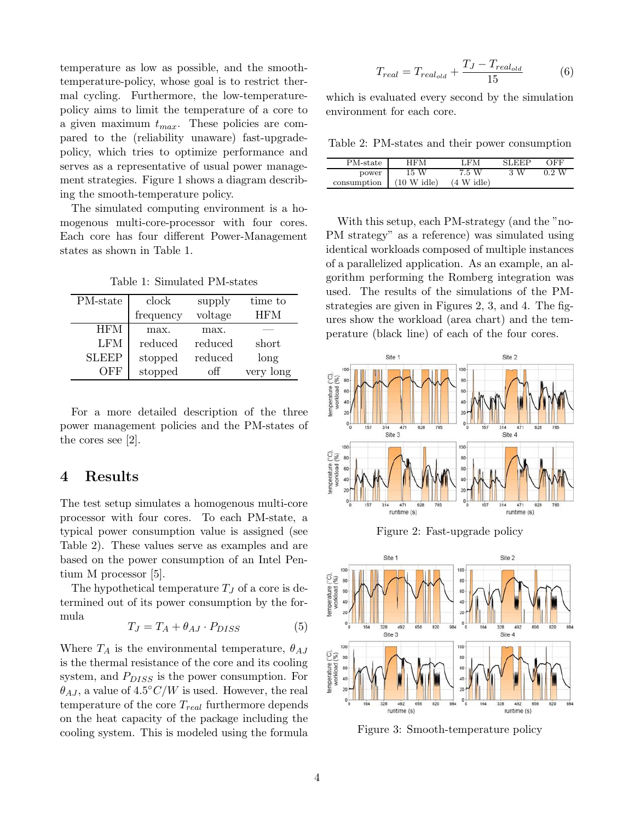temperature as low as possible, and the smoothtemperature-policy, whose goal is to restrict thermal cycling. Furthermore, the low-temperaturepolicy aims to limit the temperature of a core to a given maximum  $t_{max}$ . These policies are compared to the (reliability unaware) fast-upgradepolicy, which tries to optimize performance and serves as a representative of usual power management strategies. Figure 1 shows a diagram describing the smooth-temperature policy.

The simulated computing environment is a homogenous multi-core-processor with four cores. Each core has four different Power-Management states as shown in Table 1.

Table 1: Simulated PM-states

| PM-state     | clock     | supply  | time to    |
|--------------|-----------|---------|------------|
|              | frequency | voltage | <b>HFM</b> |
| <b>HFM</b>   | max.      | max.    |            |
| LFM          | reduced   | reduced | short      |
| <b>SLEEP</b> | stopped   | reduced | long       |
| )FF          | stopped   | off     | very long  |

For a more detailed description of the three power management policies and the PM-states of the cores see [2].

### 4 Results

The test setup simulates a homogenous multi-core processor with four cores. To each PM-state, a typical power consumption value is assigned (see Table 2). These values serve as examples and are based on the power consumption of an Intel Pentium M processor [5].

The hypothetical temperature  $T_J$  of a core is determined out of its power consumption by the formula

$$
T_J = T_A + \theta_{AJ} \cdot P_{DISS} \tag{5}
$$

Where  $T_A$  is the environmental temperature,  $\theta_{AJ}$ is the thermal resistance of the core and its cooling system, and  $P_{DISS}$  is the power consumption. For  $\ddot{\theta}_{AJ}$ , a value of  $4.5^{\circ}C/W$  is used. However, the real temperature of the core  $T_{real}$  furthermore depends on the heat capacity of the package including the cooling system. This is modeled using the formula

$$
T_{real} = T_{real_{old}} + \frac{T_J - T_{real_{old}}}{15}
$$
 (6)

which is evaluated every second by the simulation environment for each core.

Table 2: PM-states and their power consumption

| PM-state    | HFM           | LFM                  | <b>SLEEP</b> | ЭFF   |
|-------------|---------------|----------------------|--------------|-------|
| power       | 15 W          | 7.5 W                | 3 W          | 0.2 W |
| consumption | $(10 W$ idle) | $(4 \text{ W}$ idle) |              |       |

With this setup, each PM-strategy (and the "no-PM strategy" as a reference) was simulated using identical workloads composed of multiple instances of a parallelized application. As an example, an algorithm performing the Romberg integration was used. The results of the simulations of the PMstrategies are given in Figures 2, 3, and 4. The figures show the workload (area chart) and the temperature (black line) of each of the four cores.



Figure 2: Fast-upgrade policy



Figure 3: Smooth-temperature policy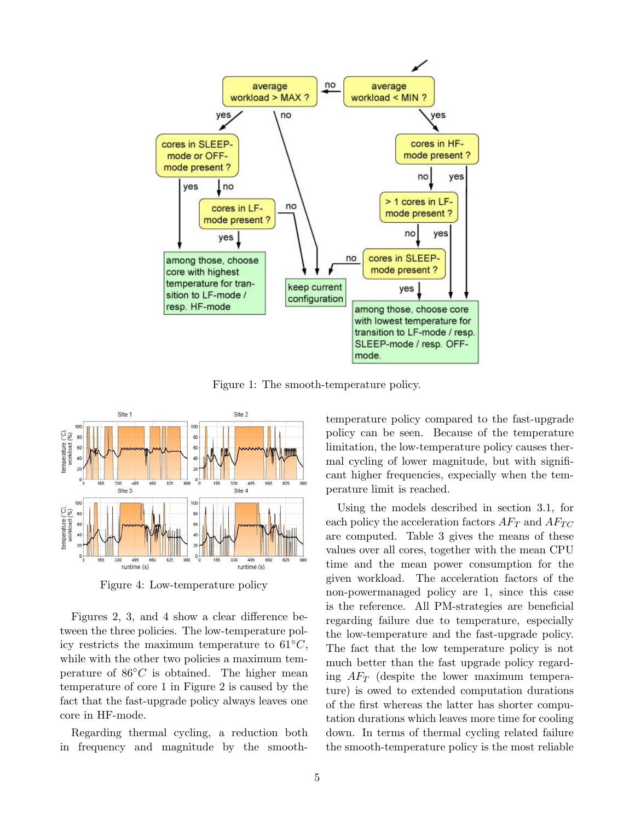

Figure 1: The smooth-temperature policy.



Figure 4: Low-temperature policy

Figures 2, 3, and 4 show a clear difference between the three policies. The low-temperature policy restricts the maximum temperature to  $61°C$ , while with the other two policies a maximum temperature of  $86°C$  is obtained. The higher mean temperature of core 1 in Figure 2 is caused by the fact that the fast-upgrade policy always leaves one core in HF-mode.

Regarding thermal cycling, a reduction both in frequency and magnitude by the smoothtemperature policy compared to the fast-upgrade policy can be seen. Because of the temperature limitation, the low-temperature policy causes thermal cycling of lower magnitude, but with significant higher frequencies, expecially when the temperature limit is reached.

Using the models described in section 3.1, for each policy the acceleration factors  $AF_T$  and  $AF_{TC}$ are computed. Table 3 gives the means of these values over all cores, together with the mean CPU time and the mean power consumption for the given workload. The acceleration factors of the non-powermanaged policy are 1, since this case is the reference. All PM-strategies are beneficial regarding failure due to temperature, especially the low-temperature and the fast-upgrade policy. The fact that the low temperature policy is not much better than the fast upgrade policy regarding  $AF_T$  (despite the lower maximum temperature) is owed to extended computation durations of the first whereas the latter has shorter computation durations which leaves more time for cooling down. In terms of thermal cycling related failure the smooth-temperature policy is the most reliable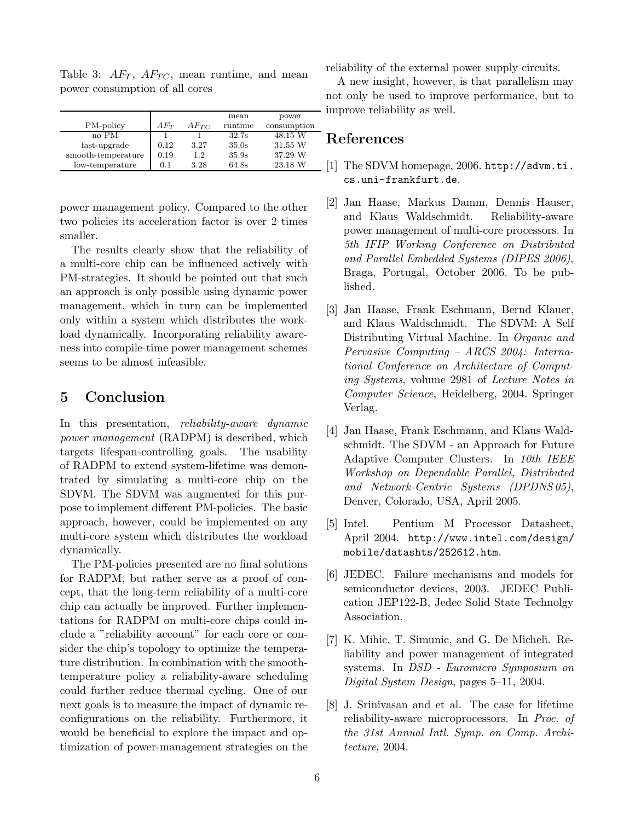|                    |          |           | mean    | power       |
|--------------------|----------|-----------|---------|-------------|
| PM-policy          | $AF_{T}$ | $AF_{TC}$ | runtime | consumption |
| no PM              |          |           | 32.7s   | 48.15 W     |
| fast-upgrade       | 0.12     | 3.27      | 35.0s   | 31.55 W     |
| smooth-temperature | 0.19     | 1.2.      | 35.9s   | 37.29 W     |
| low-temperature    | 0.1      | 3.28      | 64.8s   | 23.18 W     |

Table 3:  $AF_T$ ,  $AF_{TC}$ , mean runtime, and mean power consumption of all cores

power management policy. Compared to the other two policies its acceleration factor is over 2 times smaller.

The results clearly show that the reliability of a multi-core chip can be influenced actively with PM-strategies. It should be pointed out that such an approach is only possible using dynamic power management, which in turn can be implemented only within a system which distributes the workload dynamically. Incorporating reliability awareness into compile-time power management schemes seems to be almost infeasible.

# 5 Conclusion

In this presentation, reliability-aware dynamic power management (RADPM) is described, which targets lifespan-controlling goals. The usability of RADPM to extend system-lifetime was demontrated by simulating a multi-core chip on the SDVM. The SDVM was augmented for this purpose to implement different PM-policies. The basic approach, however, could be implemented on any multi-core system which distributes the workload dynamically.

The PM-policies presented are no final solutions for RADPM, but rather serve as a proof of concept, that the long-term reliability of a multi-core chip can actually be improved. Further implementations for RADPM on multi-core chips could include a "reliability account" for each core or consider the chip's topology to optimize the temperature distribution. In combination with the smoothtemperature policy a reliability-aware scheduling could further reduce thermal cycling. One of our next goals is to measure the impact of dynamic reconfigurations on the reliability. Furthermore, it would be beneficial to explore the impact and optimization of power-management strategies on the reliability of the external power supply circuits.

A new insight, however, is that parallelism may not only be used to improve performance, but to improve reliability as well.

## References

- [1] The SDVM homepage, 2006. http://sdvm.ti. cs.uni-frankfurt.de.
- [2] Jan Haase, Markus Damm, Dennis Hauser, and Klaus Waldschmidt. Reliability-aware power management of multi-core processors. In 5th IFIP Working Conference on Distributed and Parallel Embedded Systems (DIPES 2006), Braga, Portugal, October 2006. To be published.
- [3] Jan Haase, Frank Eschmann, Bernd Klauer, and Klaus Waldschmidt. The SDVM: A Self Distributing Virtual Machine. In Organic and Pervasive Computing – ARCS 2004: International Conference on Architecture of Computing Systems, volume 2981 of Lecture Notes in Computer Science, Heidelberg, 2004. Springer Verlag.
- [4] Jan Haase, Frank Eschmann, and Klaus Waldschmidt. The SDVM - an Approach for Future Adaptive Computer Clusters. In 10th IEEE Workshop on Dependable Parallel, Distributed and Network-Centric Systems (DPDNS 05), Denver, Colorado, USA, April 2005.
- [5] Intel. Pentium M Processor Datasheet, April 2004. http://www.intel.com/design/ mobile/datashts/252612.htm.
- [6] JEDEC. Failure mechanisms and models for semiconductor devices, 2003. JEDEC Publication JEP122-B, Jedec Solid State Technolgy Association.
- [7] K. Mihic, T. Simunic, and G. De Micheli. Reliability and power management of integrated systems. In DSD - Euromicro Symposium on Digital System Design, pages 5–11, 2004.
- [8] J. Srinivasan and et al. The case for lifetime reliability-aware microprocessors. In Proc. of the 31st Annual Intl. Symp. on Comp. Architecture, 2004.